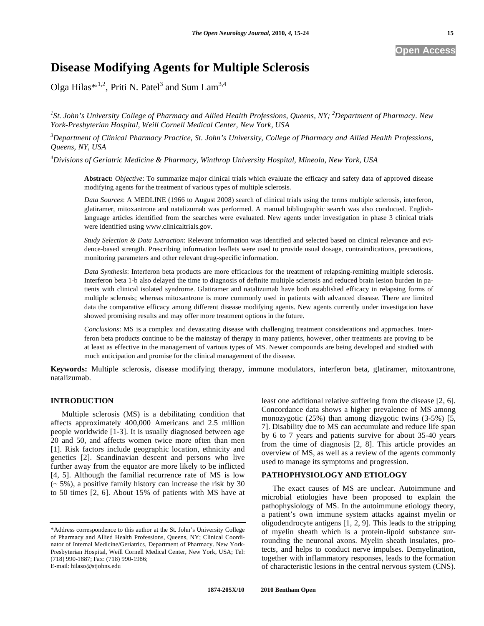# **Disease Modifying Agents for Multiple Sclerosis**

Olga Hilas\*,<sup>1,2</sup>, Priti N. Patel<sup>3</sup> and Sum Lam<sup>3,4</sup>

<sup>1</sup>St. John's University College of Pharmacy and Allied Health Professions, Queens, NY; <sup>2</sup>Department of Pharmacy. New *York-Presbyterian Hospital, Weill Cornell Medical Center, New York, USA* 

*3 Department of Clinical Pharmacy Practice, St. John's University, College of Pharmacy and Allied Health Professions, Queens, NY, USA* 

*4 Divisions of Geriatric Medicine & Pharmacy, Winthrop University Hospital, Mineola, New York, USA*

**Abstract:** *Objective*: To summarize major clinical trials which evaluate the efficacy and safety data of approved disease modifying agents for the treatment of various types of multiple sclerosis.

*Data Sources*: A MEDLINE (1966 to August 2008) search of clinical trials using the terms multiple sclerosis, interferon, glatiramer, mitoxantrone and natalizumab was performed. A manual bibliographic search was also conducted. Englishlanguage articles identified from the searches were evaluated. New agents under investigation in phase 3 clinical trials were identified using www.clinicaltrials.gov.

*Study Selection & Data Extraction*: Relevant information was identified and selected based on clinical relevance and evidence-based strength. Prescribing information leaflets were used to provide usual dosage, contraindications, precautions, monitoring parameters and other relevant drug-specific information.

*Data Synthesis*: Interferon beta products are more efficacious for the treatment of relapsing-remitting multiple sclerosis. Interferon beta 1-b also delayed the time to diagnosis of definite multiple sclerosis and reduced brain lesion burden in patients with clinical isolated syndrome. Glatiramer and natalizumab have both established efficacy in relapsing forms of multiple sclerosis; whereas mitoxantrone is more commonly used in patients with advanced disease. There are limited data the comparative efficacy among different disease modifying agents. New agents currently under investigation have showed promising results and may offer more treatment options in the future.

*Conclusions*: MS is a complex and devastating disease with challenging treatment considerations and approaches. Interferon beta products continue to be the mainstay of therapy in many patients, however, other treatments are proving to be at least as effective in the management of various types of MS. Newer compounds are being developed and studied with much anticipation and promise for the clinical management of the disease.

**Keywords:** Multiple sclerosis, disease modifying therapy, immune modulators, interferon beta, glatiramer, mitoxantrone, natalizumab.

# **INTRODUCTION**

 Multiple sclerosis (MS) is a debilitating condition that affects approximately 400,000 Americans and 2.5 million people worldwide [1-3]. It is usually diagnosed between age 20 and 50, and affects women twice more often than men [1]. Risk factors include geographic location, ethnicity and genetics [2]. Scandinavian descent and persons who live further away from the equator are more likely to be inflicted [4, 5]. Although the familial recurrence rate of MS is low  $(-5\%)$ , a positive family history can increase the risk by 30 to 50 times [2, 6]. About 15% of patients with MS have at

E-mail: hilaso@stjohns.edu

least one additional relative suffering from the disease [2, 6]. Concordance data shows a higher prevalence of MS among monozygotic (25%) than among dizygotic twins (3-5%) [5, 7]. Disability due to MS can accumulate and reduce life span by 6 to 7 years and patients survive for about 35-40 years from the time of diagnosis [2, 8]. This article provides an overview of MS, as well as a review of the agents commonly used to manage its symptoms and progression.

#### **PATHOPHYSIOLOGY AND ETIOLOGY**

 The exact causes of MS are unclear. Autoimmune and microbial etiologies have been proposed to explain the pathophysiology of MS. In the autoimmune etiology theory, a patient's own immune system attacks against myelin or oligodendrocyte antigens [1, 2, 9]. This leads to the stripping of myelin sheath which is a protein-lipoid substance surrounding the neuronal axons. Myelin sheath insulates, protects, and helps to conduct nerve impulses. Demyelination, together with inflammatory responses, leads to the formation of characteristic lesions in the central nervous system (CNS).

<sup>\*</sup>Address correspondence to this author at the St. John's University College of Pharmacy and Allied Health Professions, Queens, NY; Clinical Coordinator of Internal Medicine/Geriatrics, Department of Pharmacy. New York-Presbyterian Hospital, Weill Cornell Medical Center, New York, USA; Tel: (718) 990-1887; Fax: (718) 990-1986;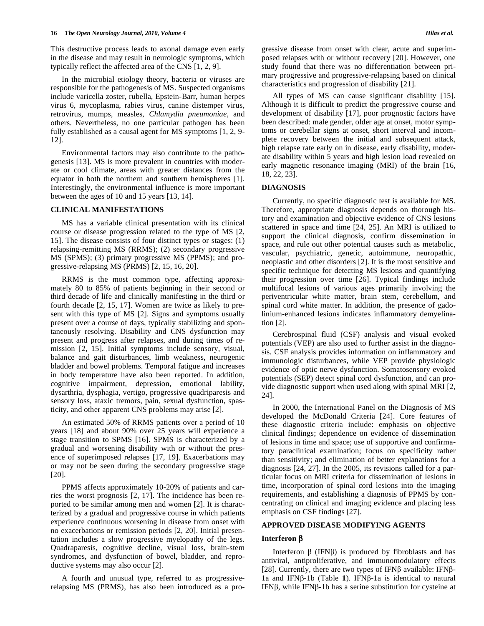This destructive process leads to axonal damage even early in the disease and may result in neurologic symptoms, which typically reflect the affected area of the CNS [1, 2, 9].

 In the microbial etiology theory, bacteria or viruses are responsible for the pathogenesis of MS. Suspected organisms include varicella zoster, rubella, Epstein-Barr, human herpes virus 6, mycoplasma, rabies virus, canine distemper virus, retrovirus, mumps, measles, *Chlamydia pneumoniae*, and others. Nevertheless, no one particular pathogen has been fully established as a causal agent for MS symptoms [1, 2, 9- 12].

 Environmental factors may also contribute to the pathogenesis [13]. MS is more prevalent in countries with moderate or cool climate, areas with greater distances from the equator in both the northern and southern hemispheres [1]. Interestingly, the environmental influence is more important between the ages of 10 and 15 years [13, 14].

### **CLINICAL MANIFESTATIONS**

 MS has a variable clinical presentation with its clinical course or disease progression related to the type of MS [2, 15]. The disease consists of four distinct types or stages: (1) relapsing-remitting MS (RRMS); (2) secondary progressive MS (SPMS); (3) primary progressive MS (PPMS); and progressive-relapsing MS (PRMS) [2, 15, 16, 20].

 RRMS is the most common type, affecting approximately 80 to 85% of patients beginning in their second or third decade of life and clinically manifesting in the third or fourth decade [2, 15, 17]. Women are twice as likely to present with this type of MS [2]. Signs and symptoms usually present over a course of days, typically stabilizing and spontaneously resolving. Disability and CNS dysfunction may present and progress after relapses, and during times of remission [2, 15]. Initial symptoms include sensory, visual, balance and gait disturbances, limb weakness, neurogenic bladder and bowel problems. Temporal fatigue and increases in body temperature have also been reported. In addition, cognitive impairment, depression, emotional lability, dysarthria, dysphagia, vertigo, progressive quadriparesis and sensory loss, ataxic tremors, pain, sexual dysfunction, spasticity, and other apparent CNS problems may arise [2].

 An estimated 50% of RRMS patients over a period of 10 years [18] and about 90% over 25 years will experience a stage transition to SPMS [16]. SPMS is characterized by a gradual and worsening disability with or without the presence of superimposed relapses [17, 19]. Exacerbations may or may not be seen during the secondary progressive stage [20].

 PPMS affects approximately 10-20% of patients and carries the worst prognosis [2, 17]. The incidence has been reported to be similar among men and women [2]. It is characterized by a gradual and progressive course in which patients experience continuous worsening in disease from onset with no exacerbations or remission periods [2, 20]. Initial presentation includes a slow progressive myelopathy of the legs. Quadraparesis, cognitive decline, visual loss, brain-stem syndromes, and dysfunction of bowel, bladder, and reproductive systems may also occur [2].

 A fourth and unusual type, referred to as progressiverelapsing MS (PRMS), has also been introduced as a pro-

 All types of MS can cause significant disability [15]. Although it is difficult to predict the progressive course and development of disability [17], poor prognostic factors have been described: male gender, older age at onset, motor symptoms or cerebellar signs at onset, short interval and incomplete recovery between the initial and subsequent attack, high relapse rate early on in disease, early disability, moderate disability within 5 years and high lesion load revealed on early magnetic resonance imaging (MRI) of the brain [16, 18, 22, 23].

#### **DIAGNOSIS**

Currently, no specific diagnostic test is available for MS. Therefore, appropriate diagnosis depends on thorough history and examination and objective evidence of CNS lesions scattered in space and time [24, 25]. An MRI is utilized to support the clinical diagnosis, confirm dissemination in space, and rule out other potential causes such as metabolic, vascular, psychiatric, genetic, autoimmune, neuropathic, neoplastic and other disorders [2]. It is the most sensitive and specific technique for detecting MS lesions and quantifying their progression over time [26]. Typical findings include multifocal lesions of various ages primarily involving the periventricular white matter, brain stem, cerebellum, and spinal cord white matter. In addition, the presence of gadolinium-enhanced lesions indicates inflammatory demyelination [2].

 Cerebrospinal fluid (CSF) analysis and visual evoked potentials (VEP) are also used to further assist in the diagnosis. CSF analysis provides information on inflammatory and immunologic disturbances, while VEP provide physiologic evidence of optic nerve dysfunction. Somatosensory evoked potentials (SEP) detect spinal cord dysfunction, and can provide diagnostic support when used along with spinal MRI [2, 24].

 In 2000, the International Panel on the Diagnosis of MS developed the McDonald Criteria [24]. Core features of these diagnostic criteria include: emphasis on objective clinical findings; dependence on evidence of dissemination of lesions in time and space; use of supportive and confirmatory paraclinical examination; focus on specificity rather than sensitivity; and elimination of better explanations for a diagnosis [24, 27]. In the 2005, its revisions called for a particular focus on MRI criteria for dissemination of lesions in time, incorporation of spinal cord lesions into the imaging requirements, and establishing a diagnosis of PPMS by concentrating on clinical and imaging evidence and placing less emphasis on CSF findings [27].

#### **APPROVED DISEASE MODIFYING AGENTS**

#### **Interferon**

Interferon  $\beta$  (IFN $\beta$ ) is produced by fibroblasts and has antiviral, antiproliferative, and immunomodulatory effects [28]. Currently, there are two types of IFN $\beta$  available: IFN $\beta$ -1a and IFN $\beta$ -1b (Table 1). IFN $\beta$ -1a is identical to natural IFN $\beta$ , while IFN $\beta$ -1b has a serine substitution for cysteine at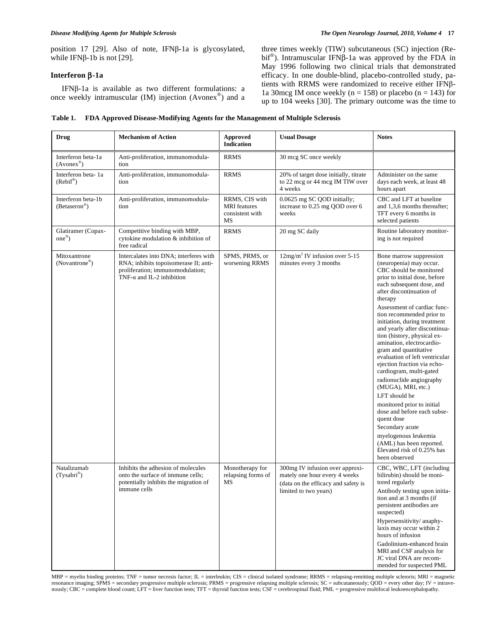position 17 [29]. Also of note, IFN $\beta$ -1a is glycosylated, while IFN $\beta$ -1b is not [29].

## **Interferon -1a**

IFN $\beta$ -1a is available as two different formulations: a once weekly intramuscular (IM) injection (Avonex®) and a

three times weekly (TIW) subcutaneous (SC) injection (Rebif<sup>®</sup>). Intramuscular IFN $\beta$ -1a was approved by the FDA in May 1996 following two clinical trials that demonstrated efficacy. In one double-blind, placebo-controlled study, patients with RRMS were randomized to receive either IFN $\beta$ -1a 30mcg IM once weekly ( $n = 158$ ) or placebo ( $n = 143$ ) for up to 104 weeks [30]. The primary outcome was the time to

# **Table 1. FDA Approved Disease-Modifying Agents for the Management of Multiple Sclerosis**

| <b>Drug</b>                                     | <b>Mechanism of Action</b>                                                                                                                               | Approved<br>Indication                                         | <b>Usual Dosage</b>                                                                                                              | <b>Notes</b>                                                                                                                                                                                                                                                                                                                                                                                                                                                                                                                                                                                                                                                                                                                                                         |
|-------------------------------------------------|----------------------------------------------------------------------------------------------------------------------------------------------------------|----------------------------------------------------------------|----------------------------------------------------------------------------------------------------------------------------------|----------------------------------------------------------------------------------------------------------------------------------------------------------------------------------------------------------------------------------------------------------------------------------------------------------------------------------------------------------------------------------------------------------------------------------------------------------------------------------------------------------------------------------------------------------------------------------------------------------------------------------------------------------------------------------------------------------------------------------------------------------------------|
| Interferon beta-1a<br>$(Avonex^{\circledR})$    | Anti-proliferation, immunomodula-<br>tion                                                                                                                | <b>RRMS</b>                                                    | 30 mcg SC once weekly                                                                                                            |                                                                                                                                                                                                                                                                                                                                                                                                                                                                                                                                                                                                                                                                                                                                                                      |
| Interferon beta-1a<br>(Rebif <sup>®</sup> )     | Anti-proliferation, immunomodula-<br>tion                                                                                                                | <b>RRMS</b>                                                    | 20% of target dose initially, titrate<br>to 22 mcg or 44 mcg IM TIW over<br>4 weeks                                              | Administer on the same<br>days each week, at least 48<br>hours apart                                                                                                                                                                                                                                                                                                                                                                                                                                                                                                                                                                                                                                                                                                 |
| Interferon beta-1b<br>$(Betaseron^{\circledR})$ | Anti-proliferation, immunomodula-<br>tion                                                                                                                | RRMS, CIS with<br><b>MRI</b> features<br>consistent with<br>MS | 0.0625 mg SC QOD initially;<br>increase to 0.25 mg QOD over 6<br>weeks                                                           | CBC and LFT at baseline<br>and 1,3,6 months thereafter;<br>TFT every 6 months in<br>selected patients                                                                                                                                                                                                                                                                                                                                                                                                                                                                                                                                                                                                                                                                |
| Glatiramer (Copax-<br>$one^{\circledR})$        | Competitive binding with MBP,<br>cytokine modulation & inhibition of<br>free radical                                                                     | <b>RRMS</b>                                                    | 20 mg SC daily                                                                                                                   | Routine laboratory monitor-<br>ing is not required                                                                                                                                                                                                                                                                                                                                                                                                                                                                                                                                                                                                                                                                                                                   |
| Mitoxantrone<br>(Novantrone®)                   | Intercalates into DNA; interferes with<br>RNA; inhibits topoisomerase II; anti-<br>proliferation; immunomodulation;<br>TNF- $\alpha$ and IL-2 inhibition | SPMS, PRMS, or<br>worsening RRMS                               | $12mg/m2$ IV infusion over 5-15<br>minutes every 3 months                                                                        | Bone marrow suppression<br>(neuropenia) may occur.<br>CBC should be monitored<br>prior to initial dose, before<br>each subsequent dose, and<br>after discontinuation of<br>therapy<br>Assessment of cardiac func-<br>tion recommended prior to<br>initiation, during treatment<br>and yearly after discontinua-<br>tion (history, physical ex-<br>amination, electrocardio-<br>gram and quantitative<br>evaluation of left ventricular<br>ejection fraction via echo-<br>cardiogram, multi-gated<br>radionuclide angiography<br>(MUGA), MRI, etc.)<br>LFT should be<br>monitored prior to initial<br>dose and before each subse-<br>quent dose<br>Secondary acute<br>myelogenous leukemia<br>(AML) has been reported.<br>Elevated risk of 0.25% has<br>been observed |
| Natalizumab<br>(Tysabri®)                       | Inhibits the adhesion of molecules<br>onto the surface of immune cells;<br>potentially inhibits the migration of<br>immune cells                         | Monotherapy for<br>relapsing forms of<br>МS                    | 300mg IV infusion over approxi-<br>mately one hour every 4 weeks<br>(data on the efficacy and safety is<br>limited to two years) | CBC, WBC, LFT (including<br>bilirubin) should be moni-<br>tored regularly<br>Antibody testing upon initia-<br>tion and at 3 months (if<br>persistent antibodies are<br>suspected)<br>Hypersensitivity/anaphy-<br>laxis may occur within 2<br>hours of infusion<br>Gadolinium-enhanced brain<br>MRI and CSF analysis for<br>JC viral DNA are recom-<br>mended for suspected PML                                                                                                                                                                                                                                                                                                                                                                                       |

MBP = myelin binding proteins; TNF = tumor necrosis factor; IL = interleukin; CIS = clinical isolated syndrome; RRMS = relapsing-remitting multiple scleroris; MRI = magnetic resonance imaging; SPMS = secondary progressive multiple sclerosis; PRMS = progressive relapsing multiple sclerosis; SC = subcutaneously; QOD = every other day; IV = intrave-<br>nously; CBC = complete blood count; LFT = liver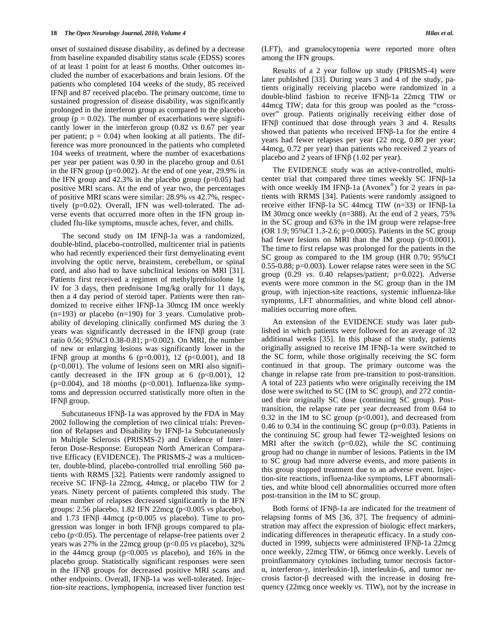onset of sustained disease disability, as defined by a decrease from baseline expanded disability status scale (EDSS) scores of at least 1 point for at least 6 months. Other outcomes included the number of exacerbations and brain lesions. Of the patients who completed 104 weeks of the study, 85 received IFN $\beta$  and 87 received placebo. The primary outcome, time to sustained progression of disease disability, was significantly prolonged in the interferon group as compared to the placebo group ( $p = 0.02$ ). The number of exacerbations were significantly lower in the interferon group (0.82 *vs* 0.67 per year per patient;  $p = 0.04$ ) when looking at all patients. The difference was more pronounced in the patients who completed 104 weeks of treatment, where the number of exacerbations per year per patient was 0.90 in the placebo group and 0.61 in the IFN group (p=0.002). At the end of one year, 29.9% in the IFN group and  $42.3\%$  in the placebo group ( $p=0.05$ ) had positive MRI scans. At the end of year two, the percentages of positive MRI scans were similar: 28.9% *vs* 42.7%, respectively (p=0.02). Overall, IFN was well-tolerated. The adverse events that occurred more often in the IFN group included flu-like symptoms, muscle aches, fever, and chills.

The second study on IM IFN $\beta$ -1a was a randomized, double-blind, placebo-controlled, multicenter trial in patients who had recently experienced their first demyelinating event involving the optic nerve, brainstem, cerebellum, or spinal cord, and also had to have subclinical lesions on MRI [31]. Patients first received a regimen of methylprednisolone 1g IV for 3 days, then prednisone 1mg/kg orally for 11 days, then a 4 day period of steroid taper. Patients were then randomized to receive either IFN $\beta$ -1a 30mcg IM once weekly  $(n=193)$  or placebo  $(n=190)$  for 3 years. Cumulative probability of developing clinically confirmed MS during the 3 years was significantly decreased in the IFN $\beta$  group (rate ratio 0.56; 95%CI 0.38-0.81; p=0.002). On MRI, the number of new or enlarging lesions was significantly lower in the IFNβ group at months 6 (p=0.001), 12 (p<0.001), and 18  $(p<0.001)$ . The volume of lesions seen on MRI also significantly decreased in the IFN group at  $6 \text{ (p} < 0.001), 12$  $(p=0.004)$ , and 18 months  $(p<0.001)$ . Influenza-like symptoms and depression occurred statistically more often in the IFN $β$  group.

Subcutaneous IFN $\beta$ -1a was approved by the FDA in May 2002 following the completion of two clinical trials: Prevention of Relapses and Disability by IFNß-1a Subcutaneously in Multiple Sclerosis (PRISMS-2) and Evidence of Interferon Dose-Response: European North American Comparative Efficacy (EVIDENCE). The PRISMS-2 was a multicenter, double-blind, placebo-controlled trial enrolling 560 patients with RRMS [32]. Patients were randomly assigned to receive SC IFNβ-1a 22mcg, 44mcg, or placebo TIW for 2 years. Ninety percent of patients completed this study. The mean number of relapses decreased significantly in the IFN groups: 2.56 placebo, 1.82 IFN 22mcg (p<0.005 *vs* placebo), and  $1.73$  IFN $\beta$  44mcg (p<0.005 *vs* placebo). Time to progression was longer in both IFN $\beta$  groups compared to placebo (p<0.05). The percentage of relapse-free patients over 2 years was 27% in the 22mcg group (p<0.05 *vs* placebo), 32% in the 44mcg group (p<0.005 *vs* placebo), and 16% in the placebo group. Statistically significant responses were seen in the IFN $\beta$  groups for decreased positive MRI scans and other endpoints. Overall, IFNß-1a was well-tolerated. Injection-site reactions, lymphopenia, increased liver function test

(LFT), and granulocytopenia were reported more often among the IFN groups.

 Results of a 2 year follow up study (PRISMS-4) were later published [33]. During years 3 and 4 of the study, patients originally receiving placebo were randomized in a double-blind fashion to receive IFN $\beta$ -1a 22mcg TIW or 44mcg TIW; data for this group was pooled as the "crossover" group. Patients originally receiving either dose of IFN $\beta$  continued that dose through years 3 and 4. Results showed that patients who received IFN $\beta$ -1a for the entire 4 years had fewer relapses per year (22 mcg, 0.80 per year; 44mcg, 0.72 per year) than patients who received 2 years of placebo and 2 years of IFN $\beta$  (1.02 per year).

 The EVIDENCE study was an active-controlled, multicenter trial that compared three times weekly  $SC$  IFN $\beta$ -1a with once weekly IM IFN $\beta$ -1a (Avonex<sup>®</sup>) for 2 years in patients with RRMS [34]. Patients were randomly assigned to receive either IFN $\beta$ -1a SC 44mcg TIW (n=33) or IFN $\beta$ -1a IM 30mcg once weekly (n=388). At the end of 2 years, 75% in the SC group and 63% in the IM group were relapse-free (OR 1.9; 95%CI 1.3-2.6; p=0.0005). Patients in the SC group had fewer lesions on MRI than the IM group  $(p<0.0001)$ . The time to first relapse was prolonged for the patients in the SC group as compared to the IM group (HR 0.70; 95%CI 0.55-0.88; p=0.003). Lower relapse rates were seen in the SC group (0.29 *vs*. 0.40 relapses/patient; p=0.022). Adverse events were more common in the SC group than in the IM group, with injection-site reactions, systemic influenza-like symptoms, LFT abnormalities, and white blood cell abnormalities occurring more often.

 An extension of the EVIDENCE study was later published in which patients were followed for an average of 32 additional weeks [35]. In this phase of the study, patients originally assigned to receive IM IFN $\beta$ -1a were switched to the SC form, while those originally receiving the SC form continued in that group. The primary outcome was the change in relapse rate from pre-transition to post-transition. A total of 223 patients who were originally receiving the IM dose were switched to SC (IM to SC group), and 272 continued their originally SC dose (continuing SC group). Posttransition, the relapse rate per year decreased from 0.64 to  $0.32$  in the IM to SC group ( $p<0.001$ ), and decreased from 0.46 to 0.34 in the continuing SC group (p=0.03). Patients in the continuing SC group had fewer T2-weighted lesions on MRI after the switch  $(p=0.02)$ , while the SC continuing group had no change in number of lesions. Patients in the IM to SC group had more adverse events, and more patients in this group stopped treatment due to an adverse event. Injection-site reactions, influenza-like symptoms, LFT abnormalities, and white blood cell abnormalities occurred more often post-transition in the IM to SC group.

Both forms of IFN $\beta$ -1a are indicated for the treatment of relapsing forms of MS [36, 37]. The frequency of administration may affect the expression of biologic effect markers, indicating differences in therapeutic efficacy. In a study conducted in 1999, subjects were administered IFN $\beta$ -1a 22mcg once weekly, 22mcg TIW, or 66mcg once weekly. Levels of proinflammatory cytokines including tumor necrosis factor-  $\alpha$ , interferon- $\gamma$ , interleukin-1 $\beta$ , interleukin-6, and tumor necrosis factor- $\beta$  decreased with the increase in dosing frequency (22mcg once weekly *vs*. TIW), not by the increase in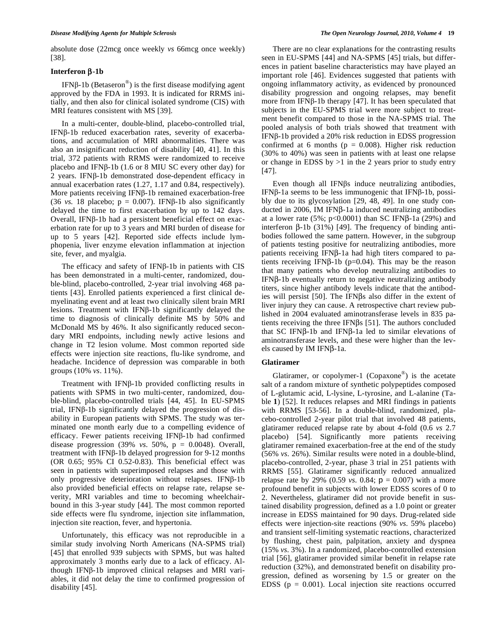absolute dose (22mcg once weekly *vs* 66mcg once weekly) [38].

#### **Interferon**  $\beta$ **-1b**

IFN $\beta$ -1b (Betaseron<sup>®</sup>) is the first disease modifying agent approved by the FDA in 1993. It is indicated for RRMS initially, and then also for clinical isolated syndrome (CIS) with MRI features consistent with MS [39].

 In a multi-center, double-blind, placebo-controlled trial, IFNß-1b reduced exacerbation rates, severity of exacerbations, and accumulation of MRI abnormalities. There was also an insignificant reduction of disability [40, 41]. In this trial, 372 patients with RRMS were randomized to receive placebo and IFN $\beta$ -1b (1.6 or 8 MIU SC every other day) for  $2$  years. IFN $\beta$ -1b demonstrated dose-dependent efficacy in annual exacerbation rates (1.27, 1.17 and 0.84, respectively). More patients receiving  $IFN\beta-1b$  remained exacerbation-free (36 *vs.* 18 placebo;  $p = 0.007$ ). IFN $\beta$ -1b also significantly delayed the time to first exacerbation by up to 142 days. Overall, IFN $\beta$ -1b had a persistent beneficial effect on exacerbation rate for up to 3 years and MRI burden of disease for up to 5 years [42]. Reported side effects include lymphopenia, liver enzyme elevation inflammation at injection site, fever, and myalgia.

The efficacy and safety of IFN $\beta$ -1b in patients with CIS has been demonstrated in a multi-center, randomized, double-blind, placebo-controlled, 2-year trial involving 468 patients [43]. Enrolled patients experienced a first clinical demyelinating event and at least two clinically silent brain MRI lesions. Treatment with IFN $\beta$ -1b significantly delayed the time to diagnosis of clinically definite MS by 50% and McDonald MS by 46%. It also significantly reduced secondary MRI endpoints, including newly active lesions and change in T2 lesion volume. Most common reported side effects were injection site reactions, flu-like syndrome, and headache. Incidence of depression was comparable in both groups (10% *vs*. 11%).

Treatment with IFNB-1b provided conflicting results in patients with SPMS in two multi-center, randomized, double-blind, placebo-controlled trials [44, 45]. In EU-SPMS trial, IFN $\beta$ -1b significantly delayed the progression of disability in European patients with SPMS. The study was terminated one month early due to a compelling evidence of efficacy. Fewer patients receiving IFN $\beta$ -1b had confirmed disease progression (39% *vs*. 50%, p = 0.0048). Overall, treatment with IFN $\beta$ -1b delayed progression for 9-12 months (OR 0.65; 95% CI 0.52-0.83). This beneficial effect was seen in patients with superimposed relapses and those with only progressive deterioration without relapses. IFN $\beta$ -1b also provided beneficial effects on relapse rate, relapse severity, MRI variables and time to becoming wheelchairbound in this 3-year study [44]. The most common reported side effects were flu syndrome, injection site inflammation, injection site reaction, fever, and hypertonia.

 Unfortunately, this efficacy was not reproducible in a similar study involving North Americans (NA-SPMS trial) [45] that enrolled 939 subjects with SPMS, but was halted approximately 3 months early due to a lack of efficacy. Although IFN $\beta$ -1b improved clinical relapses and MRI variables, it did not delay the time to confirmed progression of disability [45].

 There are no clear explanations for the contrasting results seen in EU-SPMS [44] and NA-SPMS [45] trials, but differences in patient baseline characteristics may have played an important role [46]. Evidences suggested that patients with ongoing inflammatory activity, as evidenced by pronounced disability progression and ongoing relapses, may benefit more from IFN $\beta$ -1b therapy [47]. It has been speculated that subjects in the EU-SPMS trial were more subject to treatment benefit compared to those in the NA-SPMS trial. The pooled analysis of both trials showed that treatment with IFN $\beta$ -1b provided a 20% risk reduction in EDSS progression confirmed at 6 months ( $p = 0.008$ ). Higher risk reduction (30% to 40%) was seen in patients with at least one relapse or change in EDSS by  $>1$  in the 2 years prior to study entry [47].

Even though all IFN $\beta$ s induce neutralizing antibodies, IFN $\beta$ -1a seems to be less immunogenic that IFN $\beta$ -1b, possibly due to its glycosylation [29, 48, 49]. In one study conducted in 2006, IM IFN $\beta$ -1a induced neutralizing antibodies at a lower rate  $(5\%; p<0.0001)$  than SC IFN $\beta$ -1a (29%) and interferon  $\beta$ -1b (31%) [49]. The frequency of binding antibodies followed the same pattern. However, in the subgroup of patients testing positive for neutralizing antibodies, more patients receiving IFN $\beta$ -1a had high titers compared to patients receiving IFN $\beta$ -1b (p=0.04). This may be the reason that many patients who develop neutralizing antibodies to  $IFNB-1b$  eventually return to negative neutralizing antibody titers, since higher antibody levels indicate that the antibodies will persist [50]. The IFN $\beta$ s also differ in the extent of liver injury they can cause. A retrospective chart review published in 2004 evaluated aminotransferase levels in 835 patients receiving the three IFN $\beta$ s [51]. The authors concluded that  $SC$  IFN $\beta$ -1b and IFN $\beta$ -1a led to similar elevations of aminotransferase levels, and these were higher than the levels caused by IM IFN $\beta$ -1a.

#### **Glatiramer**

 Glatiramer, or copolymer-1 (Copaxone®) is the acetate salt of a random mixture of synthetic polypeptides composed of L-glutamic acid, L-lysine, L-tyrosine, and L-alanine (Table **1**) [52]. It reduces relapses and MRI findings in patients with RRMS [53-56]. In a double-blind, randomized, placebo-controlled 2-year pilot trial that involved 48 patients, glatiramer reduced relapse rate by about 4-fold (0.6 *vs* 2.7 placebo) [54]. Significantly more patients receiving glatiramer remained exacerbation-free at the end of the study (56% *vs*. 26%). Similar results were noted in a double-blind, placebo-controlled, 2-year, phase 3 trial in 251 patients with RRMS [55]. Glatiramer significantly reduced annualized relapse rate by 29%  $(0.59 \text{ vs. } 0.84; \, \mathsf{p} = 0.007)$  with a more profound benefit in subjects with lower EDSS scores of 0 to 2. Nevertheless, glatiramer did not provide benefit in sustained disability progression, defined as a 1.0 point or greater increase in EDSS maintained for 90 days. Drug-related side effects were injection-site reactions (90% *vs*. 59% placebo) and transient self-limiting systematic reactions, characterized by flushing, chest pain, palpitation, anxiety and dyspnea (15% *vs*. 3%). In a randomized, placebo-controlled extension trial [56], glatiramer provided similar benefit in relapse rate reduction (32%), and demonstrated benefit on disability progression, defined as worsening by 1.5 or greater on the EDSS ( $p = 0.001$ ). Local injection site reactions occurred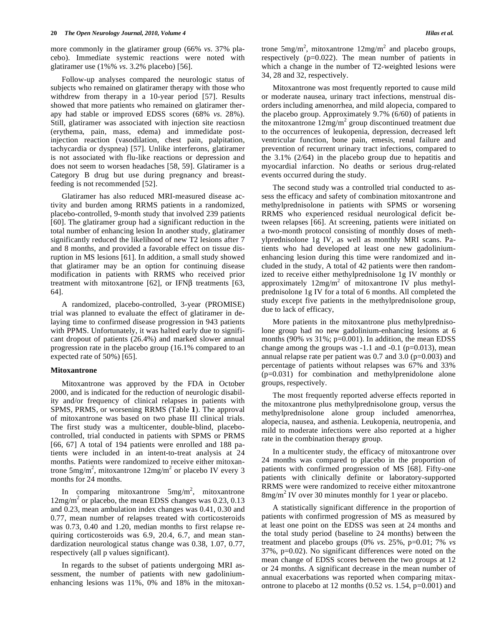more commonly in the glatiramer group (66% *vs*. 37% placebo). Immediate systemic reactions were noted with glatiramer use (1%% *vs*. 3.2% placebo) [56].

 Follow-up analyses compared the neurologic status of subjects who remained on glatiramer therapy with those who withdrew from therapy in a 10-year period [57]. Results showed that more patients who remained on glatiramer therapy had stable or improved EDSS scores (68% *vs*. 28%). Still, glatiramer was associated with injection site reactiosn (erythema, pain, mass, edema) and immedidate postinjection reaction (vasodilation, chest pain, palpitation, tachycardia or dyspnea) [57]. Unlike interferons, glatiramer is not associated with flu-like reactions or depression and does not seem to worsen headaches [58, 59]. Glatiramer is a Category B drug but use during pregnancy and breastfeeding is not recommended [52].

 Glatiramer has also reduced MRI-measured disease activity and burden among RRMS patients in a randomized, placebo-controlled, 9-month study that involved 239 patients [60]. The glatiramer group had a significant reduction in the total number of enhancing lesion In another study, glatiramer significantly reduced the likelihood of new T2 lesions after 7 and 8 months, and provided a favorable effect on tissue disruption in MS lesions [61]. In addition, a small study showed that glatiramer may be an option for continuing disease modification in patients with RRMS who received prior treatment with mitoxantrone [62], or IFN $\beta$  treatments [63, 64].

 A randomized, placebo-controlled, 3-year (PROMISE) trial was planned to evaluate the effect of glatiramer in delaying time to confirmed disease progression in 943 patients with PPMS. Unfortunately, it was halted early due to significant dropout of patients (26.4%) and marked slower annual progression rate in the placebo group (16.1% compared to an expected rate of 50%) [65].

#### **Mitoxantrone**

 Mitoxantrone was approved by the FDA in October 2000, and is indicated for the reduction of neurologic disability and/or frequency of clinical relapses in patients with SPMS, PRMS, or worsening RRMS (Table **1**). The approval of mitoxantrone was based on two phase III clinical trials. The first study was a multicenter, double-blind, placebocontrolled, trial conducted in patients with SPMS or PRMS [66, 67] A total of 194 patients were enrolled and 188 patients were included in an intent-to-treat analysis at 24 months. Patients were randomized to receive either mitoxantrone  $5mg/m^2$ , mitoxantrone  $12mg/m^2$  or placebo IV every 3 months for 24 months.

In comparing mitoxantrone  $5mg/m^2$ , mitoxantrone 12mg/m<sup>2</sup> or placebo, the mean EDSS changes was 0.23, 0.13 and 0.23, mean ambulation index changes was 0.41, 0.30 and 0.77, mean number of relapses treated with corticosteroids was 0.73, 0.40 and 1.20, median months to first relapse requiring corticosteroids was 6.9, 20.4, 6.7, and mean standardization neurological status change was 0.38, 1.07, 0.77, respectively (all p values significant).

 In regards to the subset of patients undergoing MRI assessment, the number of patients with new gadoliniumenhancing lesions was 11%, 0% and 18% in the mitoxan-

trone  $5mg/m^2$ , mitoxantrone  $12mg/m^2$  and placebo groups, respectively (p=0.022). The mean number of patients in which a change in the number of T2-weighted lesions were 34, 28 and 32, respectively.

 Mitoxantrone was most frequently reported to cause mild or moderate nausea, urinary tract infections, menstrual disorders including amenorrhea, and mild alopecia, compared to the placebo group. Approximately 9.7% (6/60) of patients in the mitoxantrone  $12mg/m^2$  group discontinued treatment due to the occurrences of leukopenia, depression, decreased left ventricular function, bone pain, emesis, renal failure and prevention of recurrent urinary tract infections, compared to the  $3.1\%$  ( $2/64$ ) in the placebo group due to hepatitis and myocardial infarction. No deaths or serious drug-related events occurred during the study.

 The second study was a controlled trial conducted to assess the efficacy and safety of combination mitoxantrone and methylprednisolone in patients with SPMS or worsening RRMS who experienced residual neurological deficit between relapses [66]. At screening, patients were initiated on a two-month protocol consisting of monthly doses of methylprednisolone 1g IV, as well as monthly MRI scans. Patients who had developed at least one new gadoliniumenhancing lesion during this time were randomized and included in the study, A total of 42 patients were then randomized to receive either methylprednisolone 1g IV monthly or approximately  $12mg/m^2$  of mitoxantrone IV plus methylprednisolone 1g IV for a total of 6 months. All completed the study except five patients in the methylprednisolone group, due to lack of efficacy,

 More patients in the mitoxantrone plus methylprednisolone group had no new gadolinium-enhancing lesions at 6 months (90% *vs* 31%; p=0.001). In addition, the mean EDSS change among the groups was  $-1.1$  and  $-0.1$  (p=0.013), mean annual relapse rate per patient was 0.7 and 3.0 (p=0.003) and percentage of patients without relapses was 67% and 33% (p=0.031) for combination and methylprenidolone alone groups, respectively.

 The most frequently reported adverse effects reported in the mitoxantrone plus methylprednisolone group, versus the methylprednisolone alone group included amenorrhea, alopecia, nausea, and asthenia. Leukopenia, neutropenia, and mild to moderate infections were also reported at a higher rate in the combination therapy group.

 In a multicenter study, the efficacy of mitoxantrone over 24 months was compared to placebo in the proportion of patients with confirmed progression of MS [68]. Fifty-one patients with clinically definite or laboratory-supported RRMS were were randomized to receive either mitoxantrone  $8$ mg/m<sup>2</sup> IV over 30 minutes monthly for 1 year or placebo.

 A statistically significant difference in the proportion of patients with confirmed progression of MS as measured by at least one point on the EDSS was seen at 24 months and the total study period (baseline to 24 months) between the treatment and placebo groups (0% *vs*. 25%, p=0.01; 7% *vs* 37%, p=0.02). No significant differences were noted on the mean change of EDSS scores between the two groups at 12 or 24 months. A significant decrease in the mean number of annual exacerbations was reported when comparing mitaxontrone to placebo at 12 months (0.52 *vs*. 1.54, p=0.001) and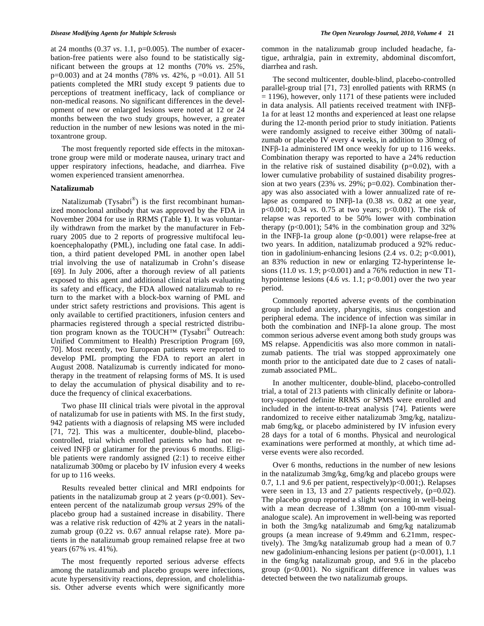at 24 months (0.37 *vs*. 1.1, p=0.005). The number of exacerbation-free patients were also found to be statistically significant between the groups at 12 months (70% *vs*. 25%, p=0.003) and at 24 months (78% *vs*. 42%, p =0.01). All 51 patients completed the MRI study except 9 patients due to perceptions of treatment inefficacy, lack of compliance or non-medical reasons. No significant differences in the development of new or enlarged lesions were noted at 12 or 24 months between the two study groups, however, a greater reduction in the number of new lesions was noted in the mitoxantrone group.

 The most frequently reported side effects in the mitoxantrone group were mild or moderate nausea, urinary tract and upper respiratory infections, headache, and diarrhea. Five women experienced transient amenorrhea.

#### **Natalizumab**

Natalizumab  $(Tysabri^{\omega})$  is the first recombinant humanized monoclonal antibody that was approved by the FDA in November 2004 for use in RRMS (Table **1**). It was voluntarily withdrawn from the market by the manufacturer in February 2005 due to 2 reports of progressive multifocal leukoencephalopathy (PML), including one fatal case. In addition, a third patient developed PML in another open label trial involving the use of natalizumab in Crohn's disease [69]. In July 2006, after a thorough review of all patients exposed to this agent and additional clinical trials evaluating its safety and efficacy, the FDA allowed natalizumab to return to the market with a block-box warning of PML and under strict safety restrictions and provisions. This agent is only available to certified practitioners, infusion centers and pharmacies registered through a special restricted distribution program known as the TOUCH<sup>™</sup> (Tysabri<sup>®</sup> Outreach: Unified Commitment to Health) Prescription Program [69, 70]. Most recently, two European patients were reported to develop PML prompting the FDA to report an alert in August 2008. Natalizumab is currently indicated for monotherapy in the treatment of relapsing forms of MS. It is used to delay the accumulation of physical disability and to reduce the frequency of clinical exacerbations.

 Two phase III clinical trials were pivotal in the approval of natalizumab for use in patients with MS. In the first study, 942 patients with a diagnosis of relapsing MS were included [71, 72]. This was a multicenter, double-blind, placebocontrolled, trial which enrolled patients who had not received INF $\beta$  or glatiramer for the previous 6 months. Eligible patients were randomly assigned (2:1) to receive either natalizumab 300mg or placebo by IV infusion every 4 weeks for up to 116 weeks.

 Results revealed better clinical and MRI endpoints for patients in the natalizumab group at 2 years ( $p<0.001$ ). Seventeen percent of the natalizumab group *versus* 29% of the placebo group had a sustained increase in disability. There was a relative risk reduction of 42% at 2 years in the natalizumab group (0.22 *vs*. 0.67 annual relapse rate). More patients in the natalizumab group remained relapse free at two years (67% *vs*. 41%).

 The most frequently reported serious adverse effects among the natalizumab and placebo groups were infections, acute hypersensitivity reactions, depression, and cholelithiasis. Other adverse events which were significantly more

common in the natalizumab group included headache, fatigue, arthralgia, pain in extremity, abdominal discomfort, diarrhea and rash.

 The second multicenter, double-blind, placebo-controlled parallel-group trial [71, 73] enrolled patients with RRMS (n  $= 1196$ ), however, only 1171 of these patients were included in data analysis. All patients received treatment with  $INF\beta$ -1a for at least 12 months and experienced at least one relapse during the 12-month period prior to study initiation. Patients were randomly assigned to receive either 300mg of natalizumab or placebo IV every 4 weeks, in addition to 30mcg of INF $\beta$ -1a administered IM once weekly for up to 116 weeks. Combination therapy was reported to have a 24% reduction in the relative risk of sustained disability  $(p=0.02)$ , with a lower cumulative probability of sustained disability progression at two years (23% *vs*. 29%; p=0.02). Combination therapy was also associated with a lower annualized rate of relapse as compared to INF $\beta$ -1a (0.38 *vs.* 0.82 at one year, p<0.001; 0.34 *vs*. 0.75 at two years; p<0.001). The risk of relapse was reported to be 50% lower with combination therapy  $(p<0.001)$ ; 54% in the combination group and 32% in the INF $\beta$ -1a group alone (p<0.001) were relapse-free at two years. In addition, natalizumab produced a 92% reduction in gadolinium-enhancing lesions (2.4 *vs*. 0.2; p<0.001), an 83% reduction in new or enlarging T2-hyperintense lesions (11.0 *vs*. 1.9; p<0.001) and a 76% reduction in new T1 hypointense lesions (4.6 *vs*. 1.1; p<0.001) over the two year period.

 Commonly reported adverse events of the combination group included anxiety, pharyngitis, sinus congestion and peripheral edema. The incidence of infection was similar in both the combination and INF $\beta$ -1a alone group. The most common serious adverse event among both study groups was MS relapse. Appendicitis was also more common in natalizumab patients. The trial was stopped approximately one month prior to the anticipated date due to 2 cases of natalizumab associated PML.

 In another multicenter, double-blind, placebo-controlled trial, a total of 213 patients with clinically definite or laboratory-supported definite RRMS or SPMS were enrolled and included in the intent-to-treat analysis [74]. Patients were randomized to receive either natalizumab 3mg/kg, natalizumab 6mg/kg, or placebo administered by IV infusion every 28 days for a total of 6 months. Physical and neurological examinations were performed at monthly, at which time adverse events were also recorded.

 Over 6 months, reductions in the number of new lesions in the natalizumab 3mg/kg, 6mg/kg and placebo groups were 0.7, 1.1 and 9.6 per patient, respectively)p<0.001;). Relapses were seen in 13, 13 and 27 patients respectively, (p=0.02). The placebo group reported a slight worsening in well-being with a mean decrease of 1.38mm (on a 100-mm visualanalogue scale). An improvement in well-being was reported in both the 3mg/kg natalizumab and 6mg/kg natalizumab groups (a mean increase of 9.49mm and 6.21mm, respectively). The 3mg/kg natalizumab group had a mean of 0.7 new gadolinium-enhancing lesions per patient (p<0.001), 1.1 in the 6mg/kg natalizumab group, and 9.6 in the placebo group  $(p<0.001)$ . No significant difference in values was detected between the two natalizumab groups.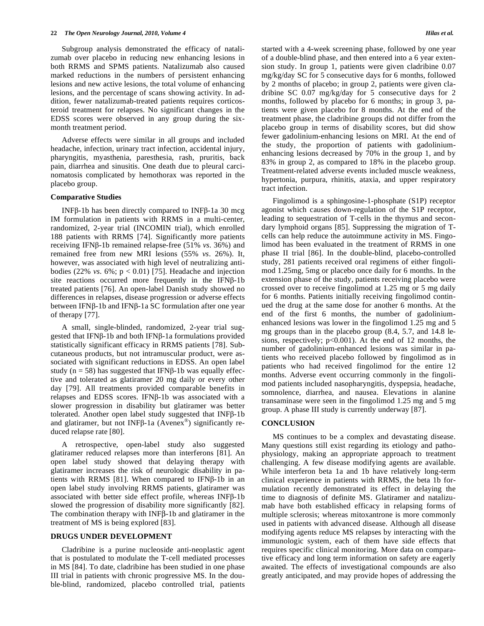Subgroup analysis demonstrated the efficacy of natalizumab over placebo in reducing new enhancing lesions in both RRMS and SPMS patients. Natalizumab also caused marked reductions in the numbers of persistent enhancing lesions and new active lesions, the total volume of enhancing lesions, and the percentage of scans showing activity. In addition, fewer natalizumab-treated patients requires corticosteroid treatment for relapses. No significant changes in the EDSS scores were observed in any group during the sixmonth treatment period.

 Adverse effects were similar in all groups and included headache, infection, urinary tract infection, accidental injury, pharyngitis, myasthenia, paresthesia, rash, pruritis, back pain, diarrhea and sinusitis. One death due to pleural carcinomatosis complicated by hemothorax was reported in the placebo group.

### **Comparative Studies**

INF $\beta$ -1b has been directly compared to INF $\beta$ -1a 30 mcg IM formulation in patients with RRMS in a multi-center, randomized, 2-year trial (INCOMIN trial), which enrolled 188 patients with RRMS [74]. Significantly more patients receiving IFNβ-1b remained relapse-free (51% *vs.* 36%) and remained free from new MRI lesions (55% *vs*. 26%). It, however, was associated with high level of neutralizing antibodies (22% *vs*. 6%; p < 0.01) [75]. Headache and injection site reactions occurred more frequently in the IFN $\beta$ -1b treated patients [76]. An open-label Danish study showed no differences in relapses, disease progression or adverse effects between IFN $\beta$ -1b and IFN $\beta$ -1a SC formulation after one year of therapy [77].

 A small, single-blinded, randomized, 2-year trial suggested that IFNß-1b and both IFNß-1a formulations provided statistically significant efficacy in RRMS patients [78]. Subcutaneous products, but not intramuscular product, were associated with significant reductions in EDSS. An open label study ( $n = 58$ ) has suggested that IFN $\beta$ -1b was equally effective and tolerated as glatiramer 20 mg daily or every other day [79]. All treatments provided comparable benefits in relapses and EDSS scores. IFN $\beta$ -1b was associated with a slower progression in disability but glatiramer was better tolerated. Another open label study suggested that  $INF\beta-1b$ and glatiramer, but not INF $\beta$ -1a (Avenex<sup>®</sup>) significantly reduced relapse rate [80].

 A retrospective, open-label study also suggested glatiramer reduced relapses more than interferons [81]. An open label study showed that delaying therapy with glatiramer increases the risk of neurologic disability in patients with RRMS [81]. When compared to IFN $\beta$ -1b in an open label study involving RRMS patients, glatiramer was associated with better side effect profile, whereas  $INF\beta-1b$ slowed the progression of disability more significantly [82]. The combination therapy with  $INF\beta-1b$  and glatiramer in the treatment of MS is being explored [83].

#### **DRUGS UNDER DEVELOPMENT**

 Cladribine is a purine nucleoside anti-neoplastic agent that is postulated to modulate the T-cell mediated processes in MS [84]. To date, cladribine has been studied in one phase III trial in patients with chronic progressive MS. In the double-blind, randomized, placebo controlled trial, patients

started with a 4-week screening phase, followed by one year of a double-blind phase, and then entered into a 6 year extension study. In group 1, patients were given cladribine 0.07 mg/kg/day SC for 5 consecutive days for 6 months, followed by 2 months of placebo; in group 2, patients were given cladribine SC 0.07 mg/kg/day for 5 consecutive days for 2 months, followed by placebo for 6 months; in group 3, patients were given placebo for 8 months. At the end of the treatment phase, the cladribine groups did not differ from the placebo group in terms of disability scores, but did show fewer gadolinium-enhancing lesions on MRI. At the end of the study, the proportion of patients with gadoliniumenhancing lesions decreased by 70% in the group 1, and by 83% in group 2, as compared to 18% in the placebo group. Treatment-related adverse events included muscle weakness, hypertonia, purpura, rhinitis, ataxia, and upper respiratory tract infection.

 Fingolimod is a sphingosine-1-phosphate (S1P) receptor agonist which causes down-regulation of the S1P receptor, leading to sequestration of T-cells in the thymus and secondary lymphoid organs [85]. Suppressing the migration of Tcells can help reduce the autoimmune activity in MS. Fingolimod has been evaluated in the treatment of RRMS in one phase II trial [86]. In the double-blind, placebo-controlled study, 281 patients received oral regimens of either fingolimod 1.25mg, 5mg or placebo once daily for 6 months. In the extension phase of the study, patients receiving placebo were crossed over to receive fingolimod at 1.25 mg or 5 mg daily for 6 months. Patients initially receiving fingolimod continued the drug at the same dose for another 6 months. At the end of the first 6 months, the number of gadoliniumenhanced lesions was lower in the fingolimod 1.25 mg and 5 mg groups than in the placebo group (8.4, 5.7, and 14.8 lesions, respectively;  $p<0.001$ ). At the end of 12 months, the number of gadolinium-enhanced lesions was similar in patients who received placebo followed by fingolimod as in patients who had received fingolimod for the entire 12 months. Adverse event occurring commonly in the fingolimod patients included nasopharyngitis, dyspepsia, headache, somnolence, diarrhea, and nausea. Elevations in alanine transaminase were seen in the fingolimod 1.25 mg and 5 mg group. A phase III study is currently underway [87].

#### **CONCLUSION**

 MS continues to be a complex and devastating disease. Many questions still exist regarding its etiology and pathophysiology, making an appropriate approach to treatment challenging. A few disease modifying agents are available. While interferon beta 1a and 1b have relatively long-term clinical experience in patients with RRMS, the beta 1b formulation recently demonstrated its effect in delaying the time to diagnosis of definite MS. Glatiramer and natalizumab have both established efficacy in relapsing forms of multiple sclerosis; whereas mitoxantrone is more commonly used in patients with advanced disease. Although all disease modifying agents reduce MS relapses by interacting with the immunologic system, each of them have side effects that requires specific clinical monitoring. More data on comparative efficacy and long term information on safety are eagerly awaited. The effects of investigational compounds are also greatly anticipated, and may provide hopes of addressing the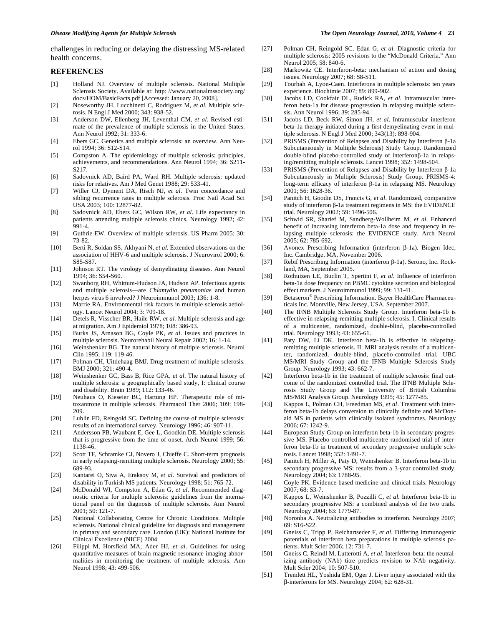challenges in reducing or delaying the distressing MS-related health concerns.

#### **REFERENCES**

- [1] Holland NJ. Overview of multiple sclerosis. National Multiple Sclerosis Society. Available at: http: //www.nationalmssociety.org/ docs/HOM/BasicFacts.pdf [Accessed: January 20, 2008].
- [2] Noseworthy JH, Lucchinetti C, Rodriguez M, *et al*. Multiple sclerosis. N Engl J Med 2000; 343: 938-52.
- [3] Anderson DW, Ellenberg JH, Leventhal CM, *et al*. Revised estimate of the prevalence of multiple sclerosis in the United States. Ann Neurol 1992; 31: 333-6.
- [4] Ebers GC. Genetics and multiple sclerosis: an overview. Ann Neurol 1994; 36: S12-S14.
- [5] Compston A. The epidemiology of multiple sclerosis: principles, achievements, and recommendations. Ann Neurol 1994; 36: S211- S217.
- [6] Sadovnick AD, Baird PA, Ward RH. Multiple sclerosis: updated risks for relatives. Am J Med Genet 1988; 29: 533-41.
- [7] Willer CJ, Dyment DA, Risch NJ, *et al*. Twin concordance and sibling recurrence rates in multiple sclerosis. Proc Natl Acad Sci USA 2003; 100: 12877-82.
- [8] Sadovnick AD, Ebers GC, Wilson RW, *et al*. Life expectancy in patients attending multiple sclerosis clinics. Neurology 1992; 42: 991-4.
- [9] Guthrie EW. Overview of multiple sclerosis. US Pharm 2005; 30: 73-82.
- [10] Berti R, Soldan SS, Akhyani N, *et al*. Extended observations on the association of HHV-6 and multiple sclerosis. J Neurovirol 2000; 6: S85-S87.
- [11] Johnson RT. The virology of demyelinating diseases. Ann Neurol 1994; 36: S54-S60.
- [12] Swanborg RH, Whittum-Hudson JA, Hudson AP. Infectious agents and multiple sclerosis—are *Chlamydia pneumoniae* and human herpes virus 6 involved? J Neuroimmunol 2003; 136: 1-8.
- [13] Marrie RA. Environmental risk factors in multiple sclerosis aetiology. Lancet Neurol 2004; 3: 709-18.
- [14] Detels R, Visscher BR, Haile RW, *et al*. Multiple sclerosis and age at migration. Am J Epidemiol 1978; 108: 386-93.
- [15] Burks JS, Arnason BG, Coyle PK, *et al*. Issues and practices in multiple sclerosis. Neurorehabil Neural Repair 2002; 16: 1-14.
- [16] Weinshenker BG. The natural history of multiple sclerosis. Neurol Clin 1995; 119: 119-46.
- [17] Polman CH, Uitdehaag BMJ. Drug treatment of multiple sclerosis. BMJ 2000; 321: 490-4.
- [18] Weinshenker GC, Bass B, Rice GPA, *et al*. The natural history of multiple sclerosis: a geographically based study, I: clinical course and disability. Brain 1989; 112: 133-46.
- [19] Neuhaus O, Kieseier BC, Hartung HP. Therapeutic role of mitoxantrone in multiple sclerosis. Pharmacol Ther 2006; 109: 198- 209.
- [20] Lublin FD, Reingold SC. Defining the course of multiple sclerosis: results of an international survey. Neurology 1996; 46: 907-11.
- [21] Andersson PB, Waubant E, Gee L, Goodkin DE. Multiple sclerosis that is progressive from the time of onset. Arch Neurol 1999; 56: 1138-46.
- [22] Scott TF, Schramke CJ, Novero J, Chieffe C. Short-term prognosis in early relapsing-remitting multiple sclerosis. Neurology 2000; 55: 689-93.
- [23] Kantarei O, Siva A, Eraksoy M, *et al*. Survival and predictors of disability in Turkish MS patients. Neurology 1998; 51: 765-72.
- [24] McDonald WI, Compston A, Edan G, *et al*. Recommended diagnostic criteria for multiple sclerosis: guidelines from the international panel on the diagnosis of multiple sclerosis. Ann Neurol 2001; 50: 121-7.
- [25] National Collaborating Centre for Chronic Conditions. Multiple sclerosis. National clinical guideline for diagnosis and management in primary and secondary care. London (UK): National Institute for Clinical Excellence (NICE) 2004.
- [26] Filippi M, Horsfield MA, Ader HJ, *et al*. Guidelines for using quantitative measures of brain magnetic resonance imaging abnormalities in monitoring the treatment of multiple sclerosis. Ann Neurol 1998; 43: 499-506.
- [27] Polman CH, Reingold SC, Edan G, *et al*. Diagnostic criteria for multiple sclerosis: 2005 revisions to the "McDonald Criteria." Ann Neurol 2005; 58: 840-6.
- [28] Markowitz CE. Interferon-beta: mechanism of action and dosing issues. Neurology 2007; 68: S8-S11.
- [29] Tourbah A, Lyon-Caen. Interferons in multiple sclerosis: ten years experience. Biochimie 2007; 89: 899-902.
- [30] Jacobs LD, Cookfair DL, Rudick RA, *et al*. Intramuscular interferon beta-1a for disease progression in relapsing multiple sclerosis. Ann Neurol 1996; 39: 285-94.
- [31] Jacobs LD, Beck RW, Simon JH, *et al*. Intramuscular interferon beta-1a therapy initiated during a first demyelinating event in multiple sclerosis. N Engl J Med 2000; 343(13): 898-904.
- [32] PRISMS (Prevention of Relapses and Disability by Interferon  $\beta$ -1a Subcutaneously in Multiple Sclerosis) Study Group. Randomized double-blind placebo-controlled study of interferon $\beta$ -1a in relapsing/remitting multiple sclerosis. Lancet 1998; 352: 1498-504.
- [33] PRISMS (Prevention of Relapses and Disability by Interferon  $\beta$ -1a Subcutaneously in Multiple Sclerosis) Study Group. PRISMS-4: long-term efficacy of interferon  $\beta$ -1a in relapsing MS. Neurology 2001; 56: 1628-36.
- [34] Panitch H, Goodin DS, Francis G, *et al*. Randomized, comparative study of interferon  $\beta$ -1a treatment regimens in MS: the EVIDENCE trial. Neurology 2002; 59: 1496-506.
- [35] Schwid SR, Sharief M, Sandberg-Wollheim M, *et al*. Enhanced benefit of increasing interferon beta-1a dose and frequency in relapsing multiple sclerosis: the EVIDENCE study. Arch Neurol 2005; 62: 785-692.
- [36] Avonex Prescribing Information (interferon  $\beta$ -1a). Biogen Idec, Inc. Cambridge, MA, November 2006.
- [37] Rebif Prescribing Information (interferon  $\beta$ -1a). Serono, Inc. Rockland, MA, September 2005.
- [38] Rothuizen LE, Buclin T, Spertini F, *et al*. Influence of interferon beta-1a dose frequency on PBMC cytokine secretion and biological effect markers. J Neuroimmunol 1999; 99: 131-41.
- [39] Betaseron® Prescribing Information. Bayer HealthCare Pharmaceuticals Inc. Montville, New Jersey, USA. September 2007.
- [40] The IFNB Multiple Sclerosis Study Group. Interferon beta-1b is effective in relapsing-remitting multiple sclerosis. I. Clinical results of a multicenter, randomized, double-blind, placebo-controlled trial. Neurology 1993; 43: 655-61.
- [41] Paty DW, Li DK. Interferon beta-1b is effective in relapsingremitting multiple sclerosis. II. MRI analysis results of a multicenter, randomized, double-blind, placebo-controlled trial. UBC MS/MRI Study Group and the IFNB Multiple Sclerosis Study Group. Neurology 1993; 43: 662-7.
- [42] Interferon beta-1b in the treatment of multiple sclerosis: final outcome of the randomized controlled trial. The IFNB Multiple Sclerosis Study Group and The University of British Columbia MS/MRI Analysis Group. Neurology 1995; 45: 1277-85.
- [43] Kappos L, Polman CH, Freedman MS, *et al*. Treatment with interferon beta-1b delays conversion to clinically definite and McDonald MS in patients with clinically isolated syndromes. Neurology 2006; 67: 1242-9.
- [44] European Study Group on interferon beta-1b in secondary progressive MS. Placebo-controlled multicentre randomised trial of interferon beta-1b in treatment of secondary progressive multiple sclerosis. Lancet 1998; 352: 1491-7.
- [45] Panitch H, Miller A, Paty D, Weinshenker B. Interferon beta-1b in secondary progressive MS: results from a 3-year controlled study. Neurology 2004; 63: 1788-95.
- [46] Coyle PK. Evidence-based medicine and clinical trials. Neurology 2007; 68: S3-7.
- [47] Kappos L, Weinshenker B, Pozzilli C, *et al*. Interferon beta-1b in secondary progressive MS: a combined analysis of the two trials. Neurology 2004; 63: 1779-87.
- [48] Noronha A. Neutralizing antibodies to interferon. Neurology 2007; 69: S16-S22.
- [49] Gneiss C, Tripp P, Reichartseder F, *et al*. Differing immunogenic potentials of interferon beta preparations in multiple sclerosis patients. Mult Scler 2006; 12: 731-7.
- [50] Gneiss C, Reindl M, Lutterotti A, *et al*. Interferon-beta: the neutralizing antibody (NAb) titre predicts revision to NAb negativity. Mult Scler 2004; 10: 507-510.
- [51] Tremlett HL, Yoshida EM, Oger J. Liver injury associated with the -interferons for MS. Neurology 2004; 62: 628-31.